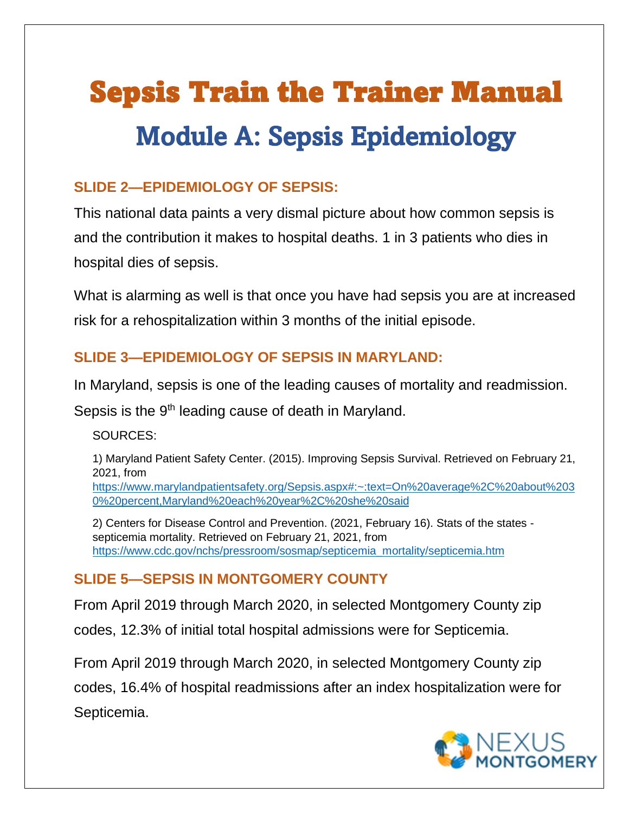# Sepsis Train the Trainer Manual Module A: Sepsis Epidemiology

## **SLIDE 2—EPIDEMIOLOGY OF SEPSIS:**

This national data paints a very dismal picture about how common sepsis is and the contribution it makes to hospital deaths. 1 in 3 patients who dies in hospital dies of sepsis.

What is alarming as well is that once you have had sepsis you are at increased risk for a rehospitalization within 3 months of the initial episode.

## **SLIDE 3—EPIDEMIOLOGY OF SEPSIS IN MARYLAND:**

In Maryland, sepsis is one of the leading causes of mortality and readmission.

Sepsis is the 9<sup>th</sup> leading cause of death in Maryland.

SOURCES:

1) Maryland Patient Safety Center. (2015). Improving Sepsis Survival. Retrieved on February 21, 2021, from

[https://www.marylandpatientsafety.org/Sepsis.aspx#:~:text=On%20average%2C%20about%203](about:blank#:~:text=On%20average%2C%20about%2030%20percent,Maryland%20each%20year%2C%20she%20said) [0%20percent,Maryland%20each%20year%2C%20she%20said](about:blank#:~:text=On%20average%2C%20about%2030%20percent,Maryland%20each%20year%2C%20she%20said)

2) Centers for Disease Control and Prevention. (2021, February 16). Stats of the states septicemia mortality. Retrieved on February 21, 2021, from [https://www.cdc.gov/nchs/pressroom/sosmap/septicemia\\_mortality/septicemia.htm](about:blank)

## **SLIDE 5—SEPSIS IN MONTGOMERY COUNTY**

From April 2019 through March 2020, in selected Montgomery County zip

codes, 12.3% of initial total hospital admissions were for Septicemia.

From April 2019 through March 2020, in selected Montgomery County zip

codes, 16.4% of hospital readmissions after an index hospitalization were for Septicemia.

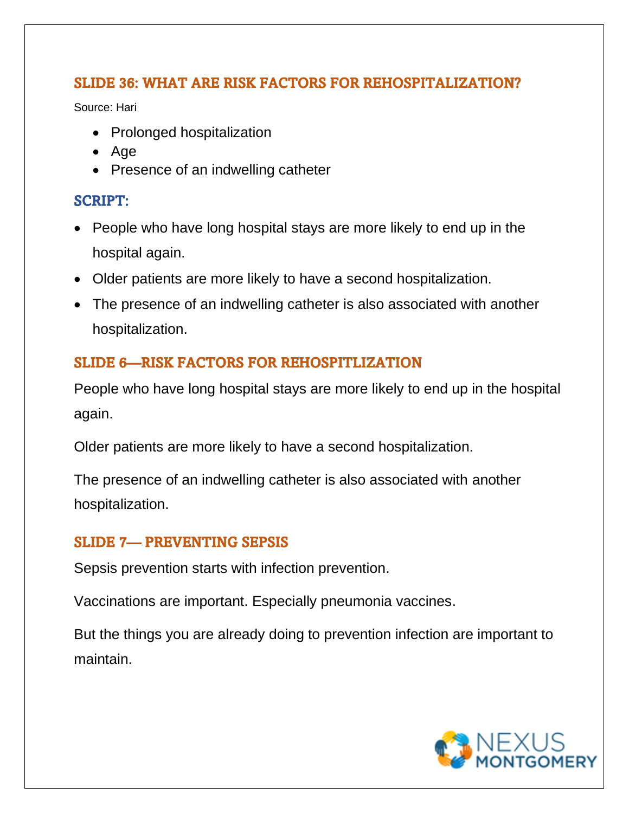#### SLIDE 36: WHAT ARE RISK FACTORS FOR REHOSPITALIZATION?

Source: Hari

- Prolonged hospitalization
- Age
- Presence of an indwelling catheter

#### SCRIPT:

- People who have long hospital stays are more likely to end up in the hospital again.
- Older patients are more likely to have a second hospitalization.
- The presence of an indwelling catheter is also associated with another hospitalization.

## SLIDE 6—RISK FACTORS FOR REHOSPITLIZATION

People who have long hospital stays are more likely to end up in the hospital again.

Older patients are more likely to have a second hospitalization.

The presence of an indwelling catheter is also associated with another hospitalization.

### SLIDE 7— PREVENTING SEPSIS

Sepsis prevention starts with infection prevention.

Vaccinations are important. Especially pneumonia vaccines.

But the things you are already doing to prevention infection are important to maintain.